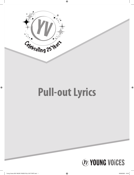

# **Pull-out Lyrics**

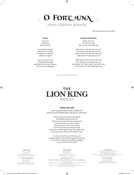

**Words and Music by Carl Orff**

#### **LYRICS**

O fortuna, velut luna, statu variabilis.

Sors salutis et virtutis michi nunc contraria, est affectus et defectus semper in angaria.

Hac in hora sine mora corde pulsum tangite: quod per sortem sternit fortem, mecum omnes plangite!

#### **TRANSLITERATIONS**

Oh for toon' ah, veh' loot loo' nah, stah' too vah ree ah'bee lees.

sohrs sah loo' tees eht veer too' tees mee' Xee noonk kohn trah ree' ah, ehst ah fehk' toos eht deh fehk' toos sehm' pehr een ahn gah ree' ah.

hahk een hoh' rah see'neh moh' rah kohr' deh pool' soom tahn gee' teh: kvohd pehr sohr' tehm stehr' neet fohr' tehm, meh' koom ohm' nehs plahn gee' teh!

© 1937 (Renewed 1965) Schott Musik GmbH & Co. KG, Mainz International Copyright Secured All Rights Reserved

## **THE LION KING**  MEDLEY

#### **CIRCLE OF LIFE**

Nants'ngonyama bakithi Baba. 'Ngonyama. Nants'ngonyama bakithi Baba. 'Ngonyama, 'Ngonyama.

From the day we arrive on the planet and blinking step into the sun. There's more to see than can ever be seen, more to do than can ever be done. There's far too much to take in here, more to find than can ever be found; but the sun rolling high through the sapphire sky keeps great and small on the endless round.

It's the circle of life, and it moves us all through despair and hope, through faith and love. 'Til we find our place, on the path unwinding in the circle, the circle of life.

#### **CIRCLE OF LIFE** from THE LION KING

Music by Elton John Lyrics by Tim Rice © 1994 Wonderland Music Company, Inc. All Rights Reserved. Used by Permission.

#### **I JUST CAN'T WAIT TO BE KING**

from THE LION KING Music by Elton John Lyrics by Tim Rice © 1994 Wonderland Music Company, Inc. All Rights Reserved. Used by Permission.

#### **HAKUNA MATATA** from THE LION KING

Music by Elton John Lyrics by Tim Rice © 1994 Wonderland Music Company, Inc. All Rights Reserved. Used by Permission.

#### **THE LION SLEEPS TONIGHT**

New Lyrics and Revised Music by George David Weiss, Luigi Creatore and Hugo Peretti Copyright © 1961 Abilene Music, Luigi Creatore Music, HJP Music and Hugo Peretti Music Copyright Renewed<br>All Rights for Abilene Music and Luigi Creatore Music Administered by Concord Sounds<br>C/O Concord Music Publishing<br>All Rights for HJP Music and Hugo Peretti Music Administered by Steve Peter Music<br>All Righ

#### **SHADOWLAND**

**from THE LION KING THE BROADWAY MUSICAL** Music by Lebo M and Hans Zimmer<br>Lyrics by Mark Mancina and Lebo M<br>© 1997 Walt Disney Music Company and Wonderland Music Company, Inc<br>All Rights Reserved. Used by Permission.

> **KING OF PRIDE ROCK** from THE LION KING Music by Hans Zimmer © 1994 Wonderland Music Company, Inc. All Rights Reserved. Used by Permission.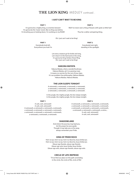## **THE LION KING** MEDIFY continued

#### **I JUST CAN'T WAIT TO BE KING**

### **PART 1**

I'm gonna be a mighty king, so enemies beware! I'm gonna be the 'mane' event, like no King was before, I'm brushing up on looking down, I'm working on my ROAR! **PART 2**

Well I've never seen a King of beasts with quite so little hair!

Thus far a rather uninspiring thing.

Oh, I just can't wait to be King!

#### **PART 1**

Everybody look left, Everywhere you look I'm

**PART 2** Everybody look right, standing in the spotlight.

Let every creature go for broke and sing, Let's hear it in the herd and on the wing, it's gonna be King Simba's finest fling. Oh, I just can't wait to be King!

#### **HAKUNA MATATA**

Hakuna Matata, what a wonderful phrase. Hakuna Matata, ain't no passing craze. It means no worries for the rest of your days. It's our problem free philosophy, Hakuna Matata. Hakuna Matata, Hakuna Matata.

#### **THE LION SLEEPS TONIGHT**

A-wimoweh, a-wimoweh, a-wimoweh, a-wimoweh, a-wimoweh, a-wimoweh, a-wimoweh, a-wimoweh, a-wimoweh, a-wimoweh, a-wimoweh, a-wimoweh.

In the jungle, the mighty jungle, the lion sleeps tonight. In the jungle, the mighty jungle, the lion sleeps tonight.

#### **PART 1**

A-ooh, ooh, wimoweh! A-ooh, ooh, wimoweh! A-wimoweh, a-wimoweh, a-wimoweh, a-wimoweh, a-wimoweh, a-wimoweh, a-wimoweh, a-wimoweh, a-wimoweh, a-wimoweh, a-wimoweh, a-wimoweh, a-wimoweh, a-wimoweh, a-wimoweh.

#### **PART 2**

A-wimoweh, a-wimoweh, a-wimoweh, a-wimoweh, a-wimoweh, a-wimoweh, a-wimoweh, a-wimoweh, a-wimoweh, a-wimoweh, a-wimoweh, a-wimoweh, a-wimoweh, a-wimoweh, a-wimoweh, a-wimo... A-ooh, ooh, wimoweh! A-ooh, ooh, wimoweh!

#### **SHADOWLAND**

And where the journey may lead you, let this prayer be your guide. Though it may take you so far away, always remember your Pride.

#### **KING OF PRIDE ROCK**

Hem na iyo, hem na iyo, hem na nkosi bo, busa Simba iyo. Hem na iyo, hem na iyo, hem na nkosi bo, busa Simba iyo. Ubuse ngo thando, ubuse ngo thando. Ubuse ngo xolo, busa Simba, busa Simba. Ubuse ngo xolo, ubuse ngo thando, ubuse ngo xolo.

#### **CIRCLE OF LIFE (REPRISE)**

'Til we find our place on the path unwinding in the circle, the circle of life, circle of life!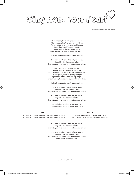# Sing from your Heart

#### **Words and Music by Jon Allen**

There's a song that's living deep inside me, There's a voice that's longing to be set free. I've got to find it now, I gotta give all I've got. Gonna lose myself inside the music, gonna feel the rhythm, gonna use it. This is the chance I have to take, this is my shot.

Shake off your doubt, what's within, let it out.

Sing from your heart with all of your power. Sing with a fire that knows no fear. Sing with your voice your, song for the world to hear.

I may be one but I am one of many and we can make a sound as big as any and if we rise as one, I know that we're gonna shine. I may be young but I am getting stronger. I got a dream that won't wait any longer, a feeling in my bones that's saying: 'This is my time'.

Shake off your doubt, what's within, let it out.

Sing from your heart with all of your power. Sing with a fire that knows no fear. Sing with your voice your, song for the world to hear.

Sing from your heart with all of your power. Sing with a fire that knows no fear. Sing with your voice your, song for the world to hear.

There's a light inside, light inside, light inside. There's a light inside, light inside, light inside.

#### **PART 1**

Sing from your heart. Sing with a fire. Sing with your voice. Sing from your heart. Sing with a fire. Sing with your voice.

**PART 2** There's a light inside, light inside, light inside. There's a light inside, light inside, light inside of you.

Sing from your heart with all of your power. Sing with a fire that knows no fear. Sing with your voice your, song for the world to hear.

Sing from your heart with all of your power. Sing with a fire that knows no fear. Sing with your voice your, song for the world to hear. Your song for the world to hear.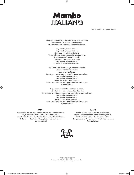

**Words and Music by Bob Merrill**

A boy went back to Napoli because he missed the scenery, the native dances and the charming songs but wait a minute, something's wrong! 'Cos now it's...

Hey, Mambo, Mambo Italiano. Hey, Mambo, Mambo Italiano. Go, go, go, you mixed up Siciliano. All you Calabrese do the Mambo like a crazy with a... Hey, Mambo, don't wanna Tarantella. Hey, Mambo, no more-a mozzarella. Hey, Mambo, Mambo Italiano. Try an enchilada with a fish a bacalala.

Hey, Goombah! I love it how you dance the Rumba. Take in some advice, Paisano, learn-a how to Mambo. If you're gonna be a square you ain't-a gonna go nowhere. Hey, Mambo, Mambo Italiano. Hey, Mambo, Mambo Italiano. Go, go, Joe, shake like-a Giovanno. Hello, che se dice. You get happy in the feets-a when you Mambo Italiano.

Hey, Jadrool, you don't-a have to go to school. Just make it like a big bambino, it's a like a vino. Kid you good-a looking but you don't-a know what's cooking till you... Hey, Mambo, Mambo Italiano. Hey, Mambo, Mambo Italiano. Ho, ho, ho, you mixed up Siciliano. Hello, che se dice. You get happy in the feets-a when you Mambo Italiano.

#### **PART 1**

Hey, Mambo! Italiano. Hey, Mambo! Italiano. Hey, Mambo! Italiano. All you Calabrese do the Mambo like a crazy with a... Hey, Mambo! Italiano. Hey, Mambo! Italiano. Hey, Mambo! Italiano. Hello, che se dice. You get happy in the feets-a when you Mambo Italiano!

#### **PART 2**

Mambo Italiano. Mambo Italiano. Mambo Italia... All you Calabrese do the Mambo like a crazy with a... Mambo Italiano. Mambo Italiano. Mambo Italia... Hello, che se dice. You get happy in the feets-a when you Mambo Italiano!



Copyright © 1954 Golden Bell Songs Copyright Renewed 1982 Administered in the USA and Canada by Music & Media International, Inc. International Copyright Secured All Rights Reserved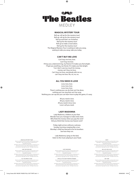

#### **MAGICAL MYSTERY TOUR**

Roll up, roll up for the mystery tour! Roll up, roll up for the mystery tour! Roll up and that's an invitation. Roll up for the mystery tour! Roll up to make a reservation. Roll up for the mystery tour! The Magical Mystery Tour is waiting to take you away, waiting to take you away, take you today.

#### **CAN'T BUY ME LOVE**

Can't buy me love, love. Can't buy me love. I'll buy you a diamond ring, my friend, if it makes you feel alright. I'll get you anything, my friend, if it makes you feel alright. 'Cos I don't care too much for money, money can't buy me love. Can't buy me love, everybody tells me so, can't buy me love. No, no, no, no.

#### **ALL YOU NEED IS LOVE**

Love, love, love. Love, love, love. Love, love, love. There's nothing you can do that can't be done, nothing you can sing that can't be sung. Nothing you can say but you can learn how to play the game, it's easy.

> All you need is love. All you need is love. All you need is love, love. Love is all you need.

#### **LADY MADONNA**

Lady Madonna, children at your feet. Wonder how you manage to make ends meet. Who finds the money when you pay the rent? Did you think that money was heaven sent?

Friday night arrives without a suitcase, Sunday morning creeping like a nun. Monday's child has learned to tie his bootlace. See how they run.

Lady Madonna, lying on the bed, listen to the music playing in your head.

#### **LADY MADONNA**

Words and Music by John Lennon and Paul McCartney<br>Copyright © 1968 Sony/ATV Music Publishing LLC<br>All Rights Administered by Sony/ATV Music Publishing LLC<br>Af Church Street, Suite 1200, Nashville, TN 37219<br>International Copy

#### **WITH A LITTLE HELP FROM MY FRIENDS**

Words and Music by John Lennon and Paul McCartney<br>Copyright © 1967 Sony/ATV Music Publishing LLC<br>Copyright Renewed<br>All Rights Administered by Sony/ATV Music Publishing LLC,<br>424 Church Street, Suite 1200, Nashville, TN 3721

**HELP!**

Words and Music by John Lennon and Paul McCartney<br>Copyright © 1965 Sony/ATV Music Publishing LLC<br>All Rights Administered by Sony/ATV Music Publishing LLC<br>424 Church Street, Suite 1200, Nashville, TN 37219<br>Hermational Copyr

**OB-LA-D1, OB-LA-DA**<br>Words and Music by John Lennon and Paul McCartney<br>Copyright © 1968 Sony/ATV Music Publishing LLC<br>All Rights Administered by Sony/ATV Music Publishing LLC<br>All Rights Administered by Sony/ATV Music Publi

#### **HEY JUDE**

Words and Music by John Lennon and Paul McCartney<br>Copyright © 1968 Sony/ATV Music Publishing LLC<br>All Rights Administered by Sony/ATV Music Publishing LLC<br>4/2 Church Street, Suite 1/200, Nashville, TN 37219<br>International C

#### **MAGICAL MYSTERY TOUR**

Words and Music by John Lennon and Paul McCartney<br>Copyright © 1967 Sony/ATV Music Publishing LLC<br>All Rights Administered by Sony/ATV Music Publishing LLC<br>All Rights Administered by Sony/ATV Music Publishing LLC,<br>1424 Churc

CANT BUY ME LOOP AND LEAD ME AND MOST CONTROLL CONTROLL CONTROLL CONTROLL CONTROLL CONTROLL CONTROLL CONTROLL CONTROLL CONTROLL AND A 424 Church Street, Suite 1200, Nashville, TN 37219<br>International Copyright Renewed by So

#### **ALL YOU NEED IS LOVE**

Words and Music by John Lennon and Paul McCartney<br>Copyright © 1967 Sony/ATV Music Publishing LLC<br>All Rights Administered by Sony/ATV Music Publishing LLC<br>All Rights Administered by Sony/ATV Music Publishing<br>ILC, All Rights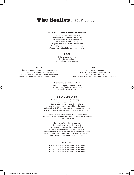# The Beatles MEDLEY continued...

#### **WITH A LITTLE HELP FROM MY FRIENDS**

What would you think if I sang out of tune, would you stand up and walk out on me? Lend me your ears and I'll sing you a song, and I'll try not to sing out of key. Oh, I get by with a little help from my friends. Oh, I get by with a little help from my friends. Mm, gonna try with a little help from my friends.

#### **HELP!**

Help! I need somebody. Help! Not just anybody. Help! You know I need someone. Help!

#### **PART 1**

When I was younger, so much younger than today, I never needed anybody's help in any way. But now these days are gone, I'm not so self assured. Now I find I changed my mind and opened up the doors.

#### **PART 2**

When, when I was young. I never needed anybody's help in any way. Now these days are gone and now I find I changed my mind and opened up the doors.

Help me if you can, I'm feeling down. And I do appreciate you being 'round. Help me get my feet back on the ground. Won't you please, please help me!

#### **OB-LA-DI, OB-LA-DA**

Desmond has a barrow in the market place, Molly is the singer in a band. Desmond says to Molly: 'Girl, I like your face.' And Molly says this as she takes him by the hand: 'Ob-la-di, ob-la-da, life goes on, whoa! La, la, how the life goes on. Ob-la-di, ob-la-da, life goes on, whoa! La, la, how the life goes on."

In a couple of years they have built a home, sweet home. With a couple of kids running in the yard of Desmond and Molly Jones. Ha, ha, ha, ha, ha, ha,

Happy ever after in the market place, Desmond lets the children lend a hand. Molly stays at home and does her pretty face and in the evening she still sings it with the band. 'Ob-la-di, ob-la-da, life goes on, whoa! La, la, how the life goes on. Ob-la-di, ob-la-da, life goes on, whoa! La, la, how the life goes on.' And if you want some more, sing Ob-la-di-bla-

#### **HEY JUDE**

Da, na, na, na, na, na, na, na, na, na, na, hey, Jude! Na, na, na, na, na, na, na, na, na, na, na, hey, Jude! Na, na, na, na, na, na, na, na, na, na, na, hey, Jude! Na, na, na, na, na, na, na, na, na, na, na, hey, Jude!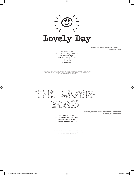

**Words and Music by Skip Scarborough and Bill Withers**

Then I look at you and the world's alright with me. Just one look at you and I know it's gonna be a lovely day. A lovely day.

© 1977 UNICHAPPELL MUSIC INC. and GOLDEN WITHERS MUSIC (ASCAP)<br>All Rights for UNICHAPPELL MUSIC INC. Administered by WARNERL MORTH AMERICA LTD., London W8 5DA<br>All Rights for GOLDEN WITHERS MUSIC (ASCAP) Administered by CH

The Levenia YEAN

**Music by Michael Rutherford and BA Robertson Lyrics by BA Robertson**

Say it loud, say it clear. You can listen as well as you hear. It's too late when we die to admit we don't see eye to eye.

Copyright © 1984, 1988 Concord Music Publishing LLC and R&BA Music Ltd. All Rights for R&BA Music Ltd. Administered by BMG Rights Management (US) LLC All Rights Reserved Used by Permission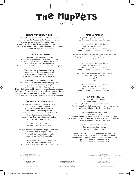

### **THE MUPPET SHOW THEME**

It's time to play the music, it's time to light the lights. It's time to meet the Muppets on the Muppet Show tonight. It's time to put on make up, it's time to dress up right. It's time to get things started, why don't we get things started on the most sensational, inspirational, celebrational, Muppetational, this is what we call the Muppet Show!

#### **LIFE'S A HAPPY SONG**

Everything is great, everything is grand, I've got the whole wide world in the palm of my hand. Everything is perfect, it's falling into place, I can't seem to wipe this smile off my face. Life's a happy song when there's someone by my side to sing along.

> When you're alone, life can be a little low, it makes you feel like you're three foot tall. When it's just you, times can be tough, when there's no-one there to catch your fall.

Everything is great, everything is grand, I've got the whole wide world in the palm of my hand. Everything is perfect, it's falling into place, I can't seem to wipe this smile off my face. Life smells like a rose, with someone to pay, and someone to pose. Life's a piece of cake, with someone to pedal and someone to break! Life is full of glee, with someone to saw, and someone to see. Life's a happy song when there's someone by my side to sing along.

#### **THE RAINBOW CONNECTION**

Why are there so many songs about rainbows? And what's on the other side? Rainbows are visions but only illusions and rainbows have nothing to hide. So we've been told and some choose to believe it, I know they're wrong, wait and see. Someday we'll find it, the rainbow connection, the lovers, the dreamers and me.

> All of us under its spell, we know that it's probably magic.

Have you been half asleep? And have you heard voices? I've heard them calling my name. I've heard it too many times to ignore it, it's something that I'm s'posed to be.

Some day we'll find it, the rainbow connection, the lovers, the dreamers and me. La, da, da, dee, da, da, dee. Da, da, da, da, dee, da, da.

## **MAH-NÀ MAH-NÀ**

Do, do, do, do, do, do, do, do, do, do, do, do, do, do, do, do, do, do, do, do, do, do, do.

Mah, na, mah, na! Do, do, do, do, do. Mah, na, mah, na! Do, do, do, do. Mah, na, mah, na! Do, do, do, do, do, do, do, do, do, do, do, do, do, do, do, do, do, do, do, do.

Me, na, me, ne, me, ne, me, ne, me, ne, ne, ne, ne, ne, ne, ne. Ne, me, ne, ne, ne, ne, ne, ne, ne, ne, ne, ne, ne, ne, ne. Ne?

Mah, na, mah, na! Do, do, do, do, do. Mah, na, mah, na! Do, do, do, do. Mah, na, mah, na! Do, do, do, do, do, do, do, do, do, do, do, do, do, do, do, do, do, do, do, do.

Me, ne, ne, ne, ne, ne. Me, ne, ne, ne, ne, ne, ne, ne. Me, ne, ne, ne, ne, ne, ne, ne. Meh? M<sub>m</sub>?

Mah, na, mah, na! Do, do, do, do, do. Mah, na, mah, na! Do, do, do, do. Mah, na, mah, na! Do, do, do, do, do, do, do, do, do, do, do, do, do, do, do, do, do, do, do, do.

## **HAPPINESS HOTEL**

Oh, there's no fire in the fireplace, there's no carpet on the floor. Don't try to order dinner, there's no kitchen anymore. But if the road's been kinda bumpy and you need to rest a spell, well, welcome home to the Happiness Hotel.

If you've got luggage keep it handy but you're running out of luck 'cos the bellhops aren't too organised and the elevator's stuck. Still if you don't mind friendly animals and can learn to stand the smell, well, welcome home to the Happiness Hotel.

> Oh, there are bugs and there are lice. Sure we have our little problems but you'll never beat the price.

We've got every kind of critter, we've got every kind of pest but we treat them all like equals just like any other guest. Though you're cleaner than the others, still as far as we can tell, you'll fit right in to the Happiness Hotel. You'll fit right in to the Happiness Hotel!

**THE MUPPET SHOW THEME** from the Television Series Words and Music by Jim Henson and Sam Pottle © 1976 Fuzzy Muppet Songs Copyright Renewed. All Rights Reserved. Used by Permission.

**LIFE'S A HAPPY SONG** from THE MUPPETS Words and Music by Bret McKenzie © 2011 Fuzzy Muppet Songs All Rights Reserved. Used by Permission.

**THE RAINBOW CONNECTION** from THE MUPPET MOVIE Words and Music by Paul Williams and Kenneth L. Ascher © 1979 Fuzzy Muppet Songs All Rights Reserved. Used by Permission. **MAH-NÀ MAH-NÀ**

By Piero Umiliani<br>Copyright © 1966 by Edward B. Marks Music Company for the world except Italy<br>Copyright Renewed<br>All Rights Reserved<br>Used by Permission<br>Discopyright Secured All Rights Reserved

**HAPPINESS HOTEL** from GREAT MUPPET CAPER Words and Music by Joe Raposo © 1981 Fuzzy Muppet Songs All Rights Reserved. Used by Permission.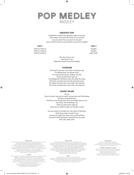

#### **GREATEST DAY**

Tonight this could be the greatest night of our lives. Let's make a new start, the future is ours to find. Can you see it? Can you see it in my eyes? Can you feel it now? Can you hold it in your arms tonight?

#### **PART 1**

Hold on, hold on. Hold on, hold on. Hold on, hold on. **PART 2**

Tonight. Tonight, yeah, yeah.

Oh, stay close to me. Stay close to me. Watch the world come alive tonight.

#### **TITANIUM**

You shout it out but I can't hear a word you say, I'm talking loud, not saying much. I'm criticised but all your bullets ricochet. Shoot me down but I get up. I'm bulletproof, nothing to lose, fire away, fire away. Ricochet, you take your aim, fire away, fire away. You shoot me down but I won't fall, I am titanium. You shoot me down but I won't fall, I am titanium.

#### **COUNT ON ME**

Ah, ha.

If you're tossin' and you're turnin' and you just can't fall asleep, I'll sing a song beside you. And if you ever forget how much you really mean to me, every day I will remind you, oh. Find out what we're made of when we are called to help our friends in need.

You can count on me like one, two, three, I'll be there. And I know when I need it I can count on you like four, three, two, you'll be there. 'Cos that's what friends are s'posed to do, ah, yeah. Ooh, ooh, yeah, yeah.

**GREATEST DAY**<br>
Words and Music by Mark Owen, Gary Barlow, Howard Donald and Jason Orange<br>
Copyright © 2008 UNIVERSAL MUSIC PUBLISHING MGB LTD.,<br>
SONY/ATV MUSIC PUBLISHING UK LIMITED and BMG VM MUSIC LTD.<br>
All Rights for U

**TTANIUM**<br> **TTANIUM**<br> **TTANIUM**<br>
Copyright © 2011 EMI Music Publishing Ltd., What A Publishing Ltd.,<br>
Copyright © 2011 EMI Music Publishing Ltd., What A Publishing Ltd.,<br>
KMR Music Royalties II SCSp, Piano Songs and Afroja

Words and Music by **Bruno Mars, Ari Levine and Philip Lawrence**<br>2009, 2010 BMG FIREFLY, MARS FORCE MUSIC, BMG GOLD SONGS, TOY PLANE MUSIC<br>ILC, UNIVERSAL MUSIC CORP., NORTHSIDE INDEPENDENT MUSIC PUBLISHING,<br>LLC, UNIVERSAL M

#### **REACH**

Words and Music by Cathy Dennis and Andrew Todd<br>Copyright © 2000 EMI Music Publishing Ltd. and Universal Music Publishing MGB Ltd<br>All Rights on behalf of EMI Music Publishing Ltd. Administered by Sony/ATV Music<br>Publishing

#### **FASCINATION**

Words and Music by Anders Bonlokke Copyright © 2004 GOOD SONGS PUBLISHING A/S All Rights Administered by UNIVERSAL MUSIC PUBLISHING AB All Rights Reserved Used by Permission

#### **NOTHING'S GONNA STOP US NOW**

Words and Music by Diane Warren and Albert Hammond Copyright © 1986, 1987 by Universal Music - MGB Songs, Realsongs and Albert Hammond Music All Rights for Albert Hammond Music Administered by BMG Rights Management (UK) Ltd. International Copyright Secured All Rights Reserved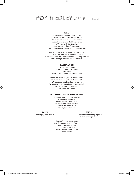# DP MEDLEY MEDLEY continued...

#### **REACH**

When the world leaves you feeling blue, you can count on me, I will be there for you. When it seems all your hopes and dreams are a million miles away, I will reassure you. We've got to all stick together, good friends are there for each other. Never ever forget that I got you and you got me so...

Reach for the stars, climb every mountain higher. Reach for the stars, follow your heart's desire. Reach for the stars and when that rainbow's shining over you, that's when your dreams will all come true!

#### **FASCINATION**

Passion is our passion, in the moonlight, on a joyride. Easy living, Leave the young dudes in their high boots.

Fascination, fascination, it's just the way we feel. Fascination, fascination, it's just the way we feel. We love this exultation, oh, oh, whoa, oh. We want the new temptations, oh, oh, whoa, oh. It's like a revelation, oh, oh, whoa, oh, We live on fascination!

#### **NOTHING'S GONNA STOP US NOW**

And we can build this thing together, standing strong forever, nothing's gonna stop us now. And if this world runs out of lovers, we'll still have each other, nothing's gonna stop us.

#### **PART 1**

Nothing's gonna stop us.

## **PART 2**

And we can build this thing together, standing strong forever,

Nothing's gonna stop us now. And if this world runs out of lovers, we'll still have each other, nothing's gonna stop us, nothing's gonna stop us now! Stop us now!